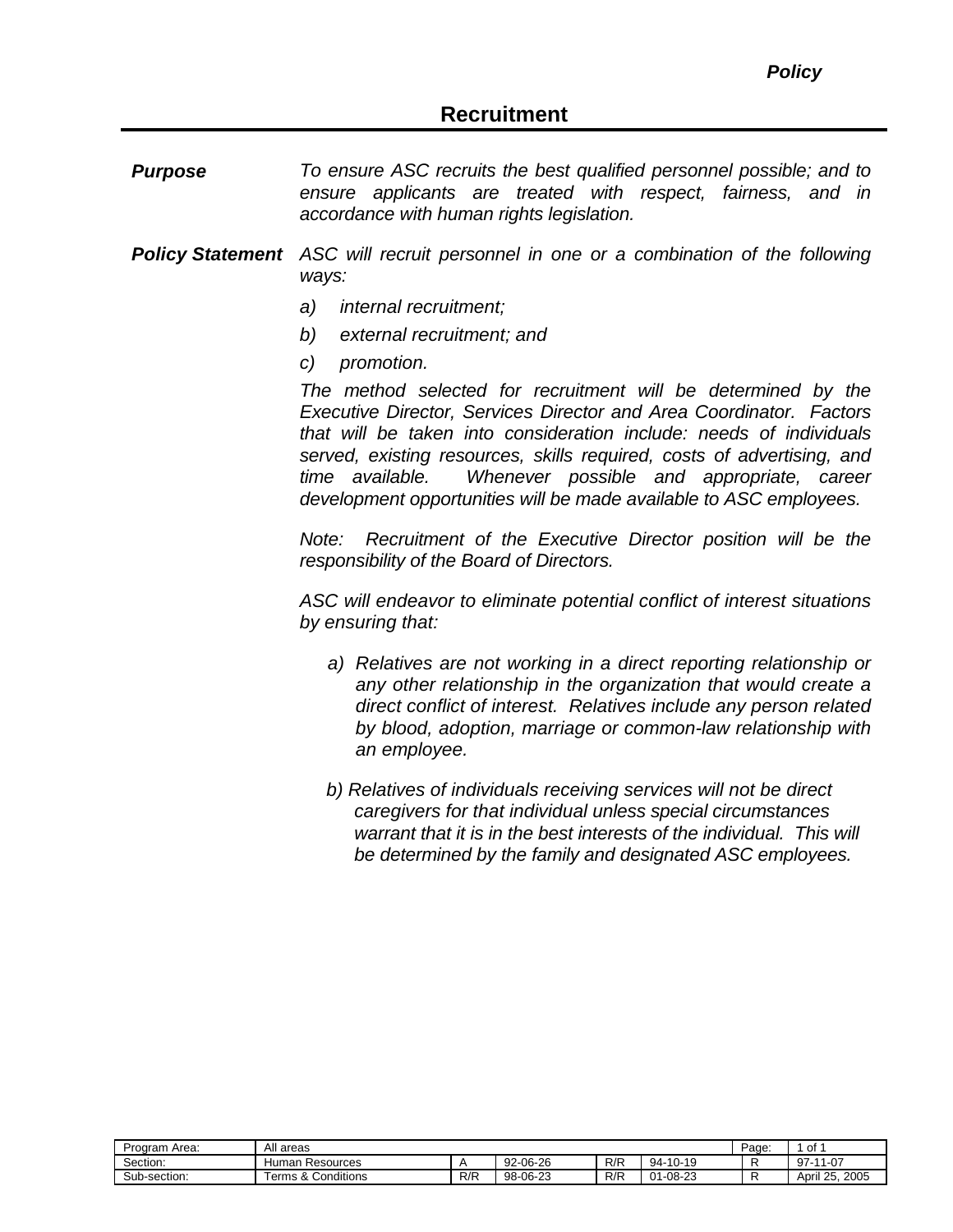*Purpose To ensure ASC recruits the best qualified personnel possible; and to ensure applicants are treated with respect, fairness, and in accordance with human rights legislation.*

- *Policy Statement ASC will recruit personnel in one or a combination of the following ways:*
	- *a) internal recruitment;*
	- *b) external recruitment; and*
	- *c) promotion.*

*The method selected for recruitment will be determined by the Executive Director, Services Director and Area Coordinator. Factors that will be taken into consideration include: needs of individuals served, existing resources, skills required, costs of advertising, and time available. Whenever possible and appropriate, career development opportunities will be made available to ASC employees.*

*Note: Recruitment of the Executive Director position will be the responsibility of the Board of Directors.*

*ASC will endeavor to eliminate potential conflict of interest situations by ensuring that:*

- *a) Relatives are not working in a direct reporting relationship or any other relationship in the organization that would create a direct conflict of interest. Relatives include any person related by blood, adoption, marriage or common-law relationship with an employee.*
- *b) Relatives of individuals receiving services will not be direct caregivers for that individual unless special circumstances warrant that it is in the best interests of the individual. This will be determined by the family and designated ASC employees.*

| Area:<br>Program, | All areas                           | Page | of       |     |                                       |  |                             |
|-------------------|-------------------------------------|------|----------|-----|---------------------------------------|--|-----------------------------|
| Section:          | tuman.<br>Resources                 |      | 92-06-26 | R/R | -10-19<br>94-                         |  | $11 - 07$<br>97             |
| Sub-section:      | Conditions<br>ີ<br>erms<br>$\alpha$ | R/R  | 98-06-23 | R/F | 1-08-23<br>$^{\circ}$<br>$\mathbf{u}$ |  | 2005<br>つに<br>April<br>Z.J. |